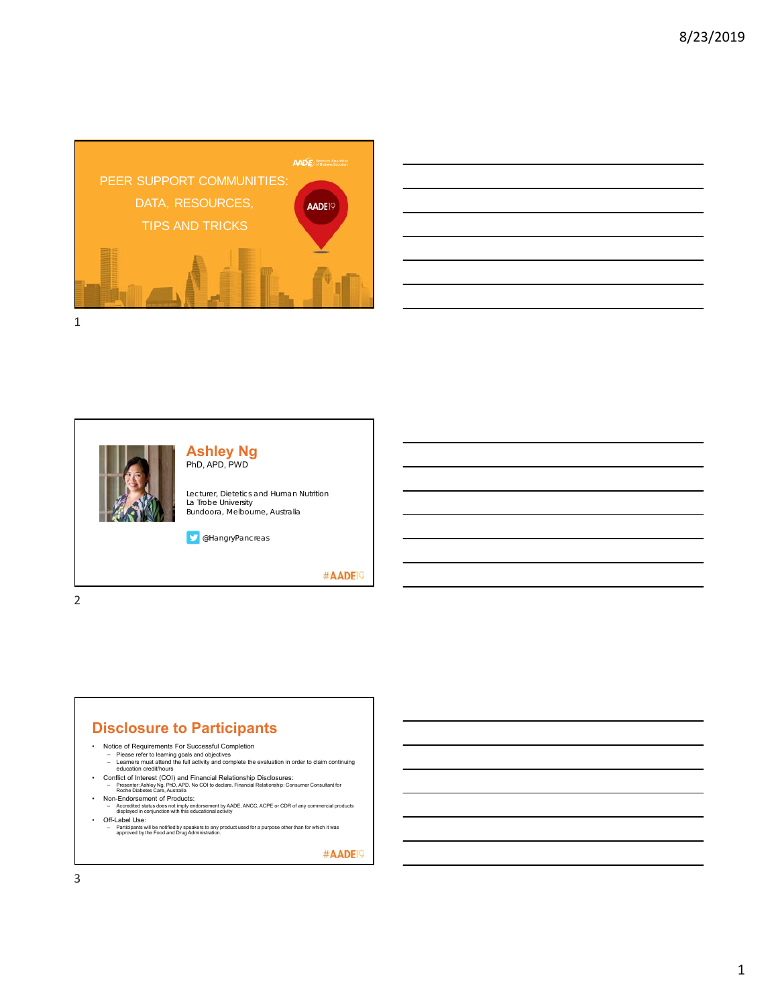

|                                                                                                                                                                                | and the control of the control of the control of the control of the control of the control of the control of the |
|--------------------------------------------------------------------------------------------------------------------------------------------------------------------------------|------------------------------------------------------------------------------------------------------------------|
|                                                                                                                                                                                |                                                                                                                  |
|                                                                                                                                                                                | the control of the control of                                                                                    |
|                                                                                                                                                                                |                                                                                                                  |
|                                                                                                                                                                                | $\sim$                                                                                                           |
|                                                                                                                                                                                | ___                                                                                                              |
| the contract of the contract of the contract of the contract of the contract of the contract of the contract of<br><u> 1989 - Johann Stoff, amerikansk politiker (d. 1989)</u> |                                                                                                                  |
|                                                                                                                                                                                |                                                                                                                  |



2

#### **Disclosure to Participants**

- -
- Notice of Requirements For Successful Completion Please refer to learning goals and objectives Learners must attend the full activity and complete the evaluation in order to claim continuing education credit/hours
- 
- Conflict of Interest (COI) and Financial Relationship Disclosures:<br>- Presenter Ashley Ng. PhD, APD. No COI to dedare. Financial Relationship: Consumer Consultant for<br>- Non-Endorsement of Products:<br>• Non-Endorsement of Pr
- 
- Accredited status does not imply endorsement by AADE, ANCC, ACPE or CDR of any commercial products displayed in conjunction with this educational activity
- Off-Label Use: Participants will be notified by speakers to any product used for a purpose other than for which it was approved by the Food and Drug Administration.

#AADE<sup>19</sup>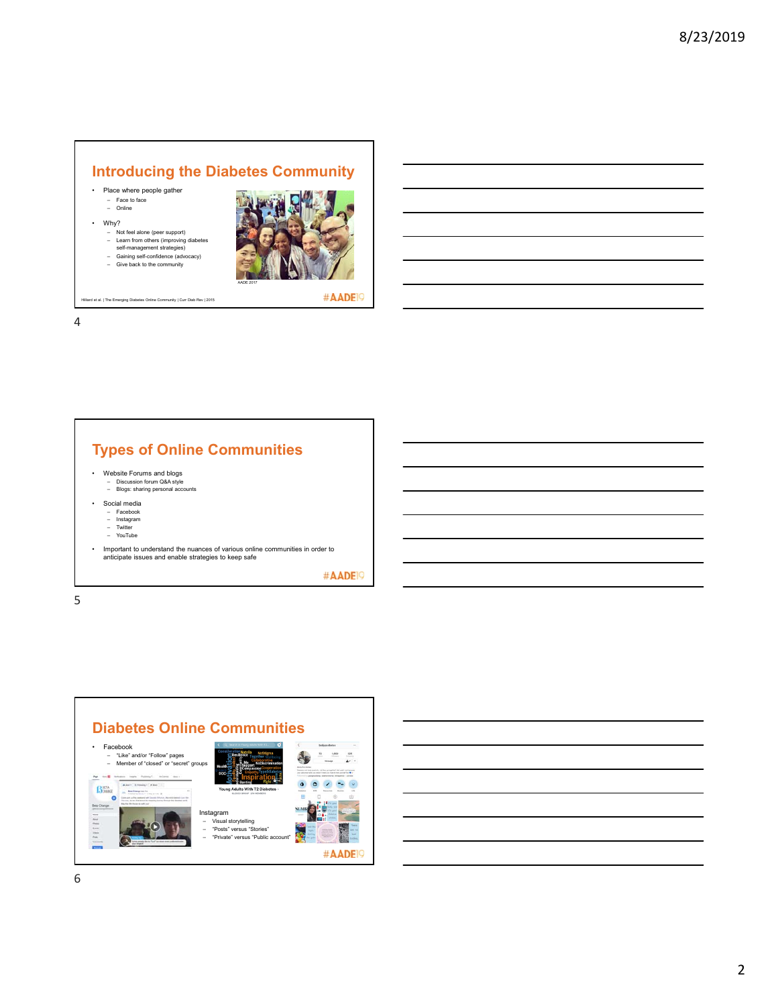# **Introducing the Diabetes Community**

AADE 2017

- Place where people gather
	- Face to face Online
- Why?
	-
	- Not feel alone (peer support) Learn from others (improving diabetes self-management strategies) Gaining self-confidence (advocacy)
	-
	- Give back to the community

Hilliard et al. | The Emerging Diabetes Online Community | Curr Diab Rev | 2015

4



- Website Forums and blogs
	- Discussion forum Q&A style Blogs: sharing personal accounts
- Social media
- - Facebook Instagram Twitter YouTube
- 
- Important to understand the nuances of various online communities in order to anticipate issues and enable strategies to keep safe

#AADE<sup>19</sup>

#AADE<sup>19</sup>

5

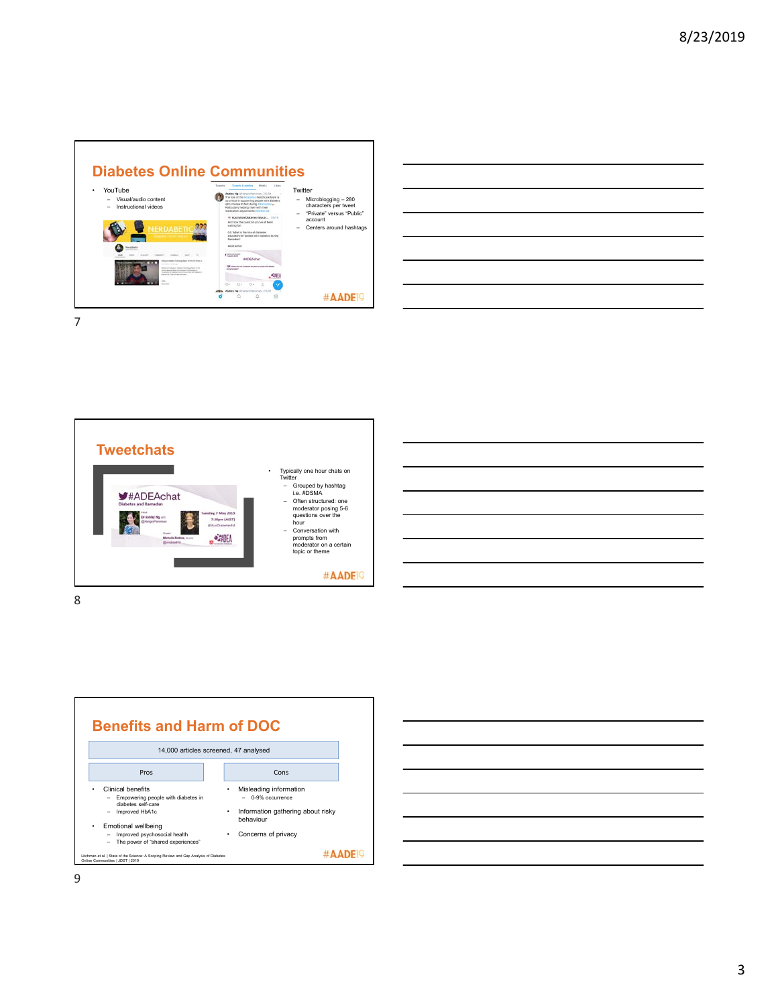

| <u> 1989 - Johann John Stone, markin sanadi bashkan a shekara ta 1989 - An tsara tsara tsara tsara tsara tsara t</u>  |  |      |
|-----------------------------------------------------------------------------------------------------------------------|--|------|
|                                                                                                                       |  |      |
| <u> Alexandro de la contrada de la contrada de la contrada de la contrada de la contrada de la contrada de la co</u>  |  |      |
| <u> 1989 - Johann Stoff, deutscher Stoff, der Stoff, der Stoff, der Stoff, der Stoff, der Stoff, der Stoff, der S</u> |  |      |
|                                                                                                                       |  |      |
|                                                                                                                       |  |      |
| the contract of the contract of the contract of                                                                       |  | ____ |
|                                                                                                                       |  |      |

7







• Clinical benefits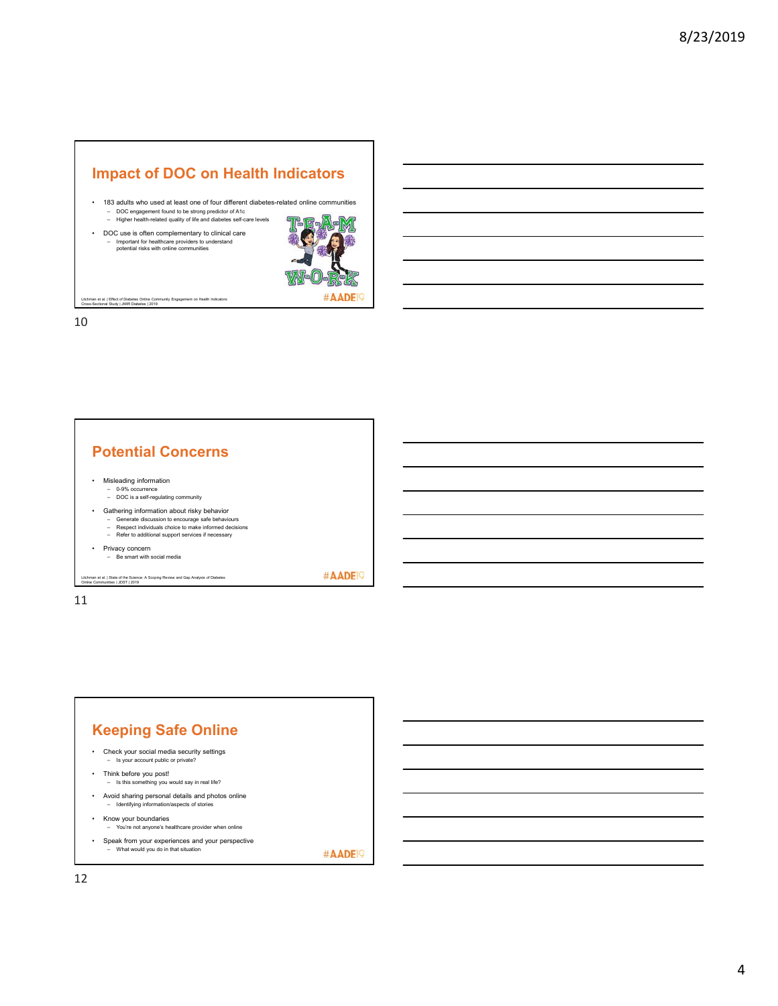## **Impact of DOC on Health Indicators**

- 183 adults who used at least one of four different diabetes-related online communities – DOC engagement found to be strong predictor of A1c – Higher health-related quality of life and diabetes self-care levels
	- TEAM 龜 #AADE<sup>9</sup>

Litchman et al. | Effect of Diabetes Online Community Engagement on Health Indicators: Cross-Sectional Study | JMIR Diabetes | 2019

• DOC use is often complementary to clinical care – Important for healthcare providers to understand potential risks with online communities

10

#### **Potential Concerns**

- Misleading information
	- 0-9% occurrence DOC is a self-regulating community
- Gathering information about risky behavior
	-
	- Generate discussion to encourage safe behaviours Respect individuals choice to make informed decisions Refer to additional support services if necessary
	-
- Privacy concern Be smart with social media

Litchman et al. | State of the Science: A Scoping Review and Gap Analysis of Diabetes Online Communities | JDST | 2019

#AADE<sup>19</sup>

11

#### **Keeping Safe Online** • Check your social media security settings – Is your account public or private? • Think before you post! – Is this something you would say in real life? • Avoid sharing personal details and photos online – Identifying information/aspects of stories • Know your boundaries – You're not anyone's healthcare provider when online • Speak from your experiences and your perspective – What would you do in that situation

#AADE<sup>19</sup>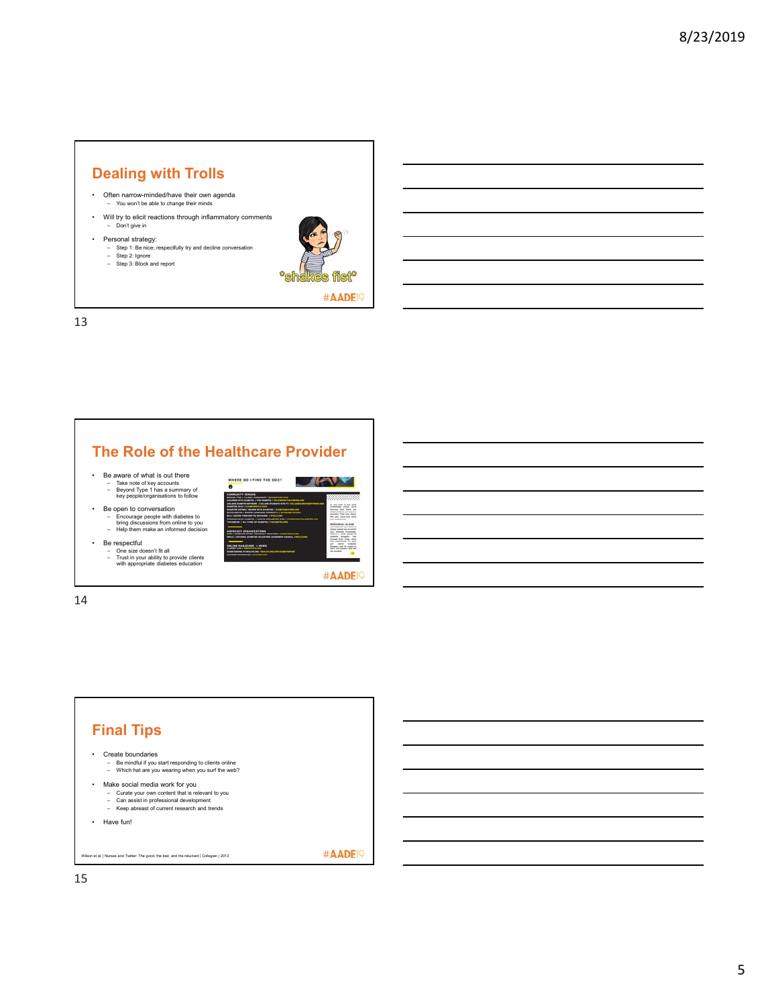#### **Dealing with Trolls**

- Often narrow-minded/have their own agenda – You won't be able to change their minds
- Will try to elicit reactions through inflammatory comments – Don't give in
- 
- 
- Personal strategy: Step 1: Be nice; respectfully try and decline conversation Step 2: Ignore Step 3: Block and report
	-



13

### **The Role of the Healthcare Provider**

- 
- Be aware of what is out there Take note of key accounts Beyond Type 1 has a summary of key people/organisations to follow
- Be open to conversation – Encourage people with diabetes to bring discussions from online to you – Help them make an informed decision

• Be respectful



WHERE DO I FIND THE DOCT

– One size doesn't fit all – Trust in your ability to provide clients with appropriate diabetes education



 $\sqrt{W}$ 

EEE

14